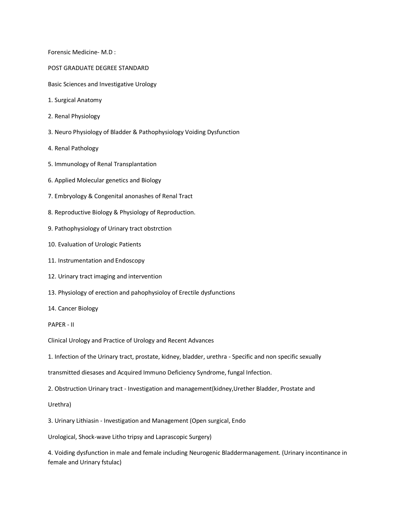Forensic Medicine- M.D :

- POST GRADUATE DEGREE STANDARD
- Basic Sciences and Investigative Urology
- 1. Surgical Anatomy
- 2. Renal Physiology
- 3. Neuro Physiology of Bladder & Pathophysiology Voiding Dysfunction
- 4. Renal Pathology
- 5. Immunology of Renal Transplantation
- 6. Applied Molecular genetics and Biology
- 7. Embryology & Congenital anonashes of Renal Tract
- 8. Reproductive Biology & Physiology of Reproduction.
- 9. Pathophysiology of Urinary tract obstrction
- 10. Evaluation of Urologic Patients
- 11. Instrumentation and Endoscopy
- 12. Urinary tract imaging and intervention
- 13. Physiology of erection and pahophysioloy of Erectile dysfunctions
- 14. Cancer Biology
- PAPER II

Clinical Urology and Practice of Urology and Recent Advances

1. Infection of the Urinary tract, prostate, kidney, bladder, urethra - Specific and non specific sexually

transmitted diesases and Acquired Immuno Deficiency Syndrome, fungal Infection.

- 2. Obstruction Urinary tract Investigation and management(kidney,Urether Bladder, Prostate and
- Urethra)

3. Urinary Lithiasin - Investigation and Management (Open surgical, Endo

Urological, Shock-wave Litho tripsy and Laprascopic Surgery)

4. Voiding dysfunction in male and female including Neurogenic Bladdermanagement. (Urinary incontinance in female and Urinary fstulac)